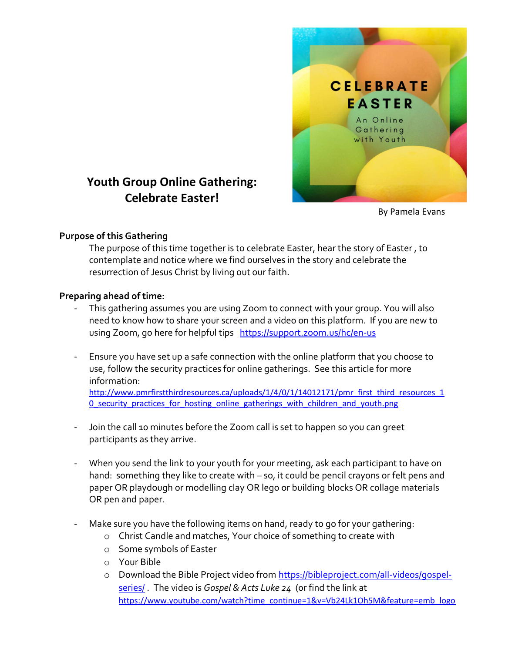

# Youth Group Online Gathering: Celebrate Easter!

By Pamela Evans

### Purpose of this Gathering

The purpose of this time together is to celebrate Easter, hear the story of Easter , to contemplate and notice where we find ourselves in the story and celebrate the resurrection of Jesus Christ by living out our faith.

### Preparing ahead of time:

- This gathering assumes you are using Zoom to connect with your group. You will also need to know how to share your screen and a video on this platform. If you are new to using Zoom, go here for helpful tips https://support.zoom.us/hc/en-us
- Ensure you have set up a safe connection with the online platform that you choose to use, follow the security practices for online gatherings. See this article for more information: http://www.pmrfirstthirdresources.ca/uploads/1/4/0/1/14012171/pmr\_first\_third\_resources\_1 0 security practices for hosting online gatherings with children and youth.png
- Join the call 10 minutes before the Zoom call is set to happen so you can greet participants as they arrive.
- When you send the link to your youth for your meeting, ask each participant to have on hand: something they like to create with – so, it could be pencil crayons or felt pens and paper OR playdough or modelling clay OR lego or building blocks OR collage materials OR pen and paper.
- Make sure you have the following items on hand, ready to go for your gathering:
	- o Christ Candle and matches, Your choice of something to create with
	- o Some symbols of Easter
	- o Your Bible
	- o Download the Bible Project video from https://bibleproject.com/all-videos/gospelseries/ The video is Gospel & Acts Luke 24 (or find the link at https://www.youtube.com/watch?time\_continue=1&v=Vb24Lk1Oh5M&feature=emb\_logo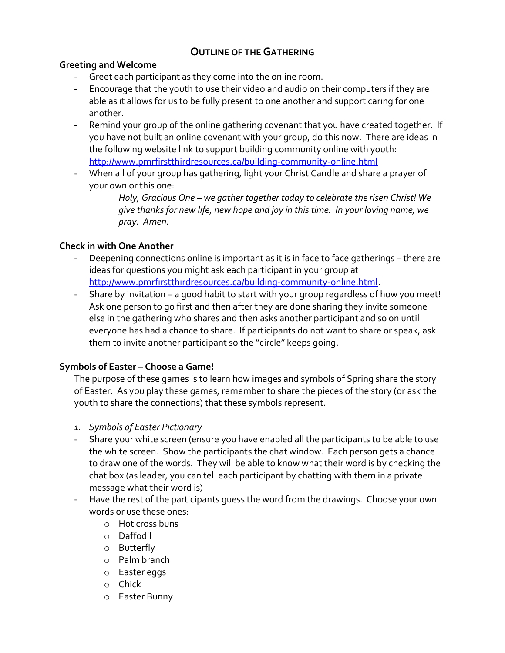# OUTLINE OF THE GATHERING

### Greeting and Welcome

- Greet each participant as they come into the online room.
- Encourage that the youth to use their video and audio on their computers if they are able as it allows for us to be fully present to one another and support caring for one another.
- Remind your group of the online gathering covenant that you have created together. If you have not built an online covenant with your group, do this now. There are ideas in the following website link to support building community online with youth: http://www.pmrfirstthirdresources.ca/building-community-online.html
- When all of your group has gathering, light your Christ Candle and share a prayer of your own or this one:

Holy, Gracious One – we gather together today to celebrate the risen Christ! We give thanks for new life, new hope and joy in this time. In your loving name, we pray. Amen.

### Check in with One Another

- Deepening connections online is important as it is in face to face gatherings there are ideas for questions you might ask each participant in your group at http://www.pmrfirstthirdresources.ca/building-community-online.html.
- Share by invitation a good habit to start with your group regardless of how you meet! Ask one person to go first and then after they are done sharing they invite someone else in the gathering who shares and then asks another participant and so on until everyone has had a chance to share. If participants do not want to share or speak, ask them to invite another participant so the "circle" keeps going.

### Symbols of Easter – Choose a Game!

The purpose of these games is to learn how images and symbols of Spring share the story of Easter. As you play these games, remember to share the pieces of the story (or ask the youth to share the connections) that these symbols represent.

- 1. Symbols of Easter Pictionary
- Share your white screen (ensure you have enabled all the participants to be able to use the white screen. Show the participants the chat window. Each person gets a chance to draw one of the words. They will be able to know what their word is by checking the chat box (as leader, you can tell each participant by chatting with them in a private message what their word is)
- Have the rest of the participants guess the word from the drawings. Choose your own words or use these ones:
	- o Hot cross buns
	- o Daffodil
	- o Butterfly
	- o Palm branch
	- o Easter eggs
	- o Chick
	- o Easter Bunny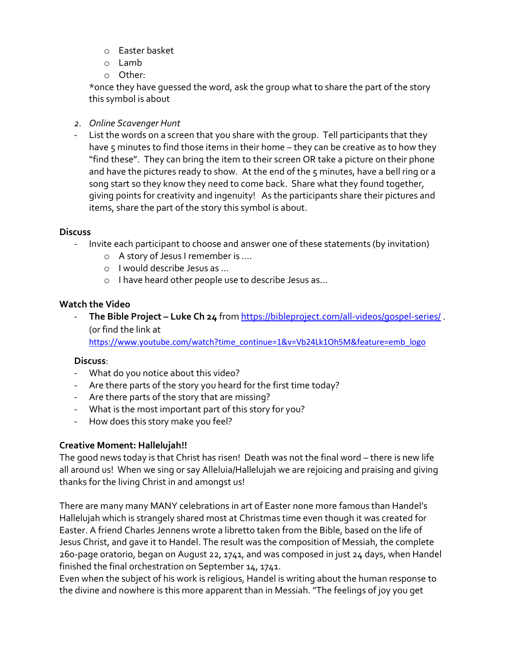- o Easter basket
- o Lamb
- o Other:

\*once they have guessed the word, ask the group what to share the part of the story this symbol is about

- 2. Online Scavenger Hunt
- List the words on a screen that you share with the group. Tell participants that they have 5 minutes to find those items in their home – they can be creative as to how they "find these". They can bring the item to their screen OR take a picture on their phone and have the pictures ready to show. At the end of the 5 minutes, have a bell ring or a song start so they know they need to come back. Share what they found together, giving points for creativity and ingenuity! As the participants share their pictures and items, share the part of the story this symbol is about.

### **Discuss**

- Invite each participant to choose and answer one of these statements (by invitation)
	- o A story of Jesus I remember is ….
	- o I would describe Jesus as …
	- o I have heard other people use to describe Jesus as…

# Watch the Video

- The Bible Project – Luke Ch 24 from https://bibleproject.com/all-videos/gospel-series/ (0r find the link at

https://www.youtube.com/watch?time\_continue=1&v=Vb24Lk1Oh5M&feature=emb\_logo

# Discuss:

- What do you notice about this video?
- Are there parts of the story you heard for the first time today?
- Are there parts of the story that are missing?
- What is the most important part of this story for you?
- How does this story make you feel?

# Creative Moment: Hallelujah!!

The good news today is that Christ has risen! Death was not the final word – there is new life all around us! When we sing or say Alleluia/Hallelujah we are rejoicing and praising and giving thanks for the living Christ in and amongst us!

There are many many MANY celebrations in art of Easter none more famous than Handel's Hallelujah which is strangely shared most at Christmas time even though it was created for Easter. A friend Charles Jennens wrote a libretto taken from the Bible, based on the life of Jesus Christ, and gave it to Handel. The result was the composition of Messiah, the complete 260-page oratorio, began on August 22, 1741, and was composed in just 24 days, when Handel finished the final orchestration on September 14, 1741.

Even when the subject of his work is religious, Handel is writing about the human response to the divine and nowhere is this more apparent than in Messiah. "The feelings of joy you get